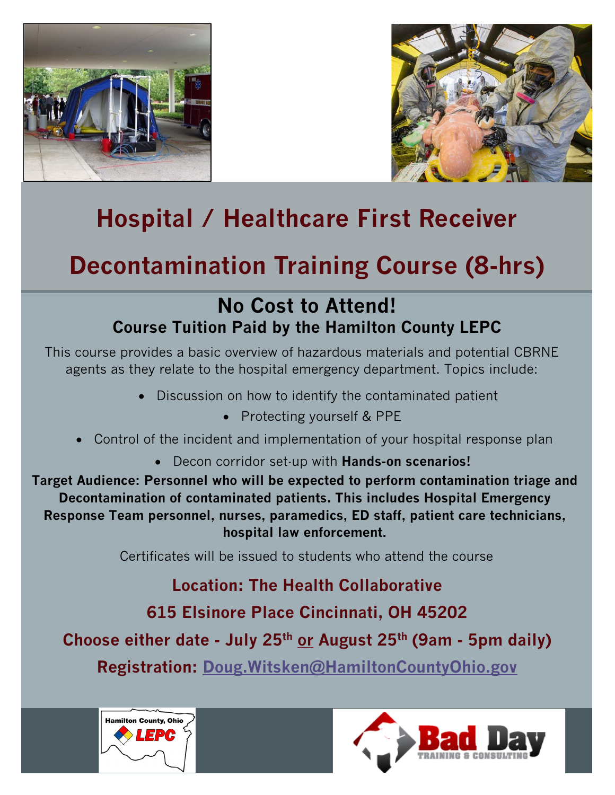



# **Hospital / Healthcare First Receiver**

## **Decontamination Training Course (8-hrs)**

### **No Cost to Attend! Course Tuition Paid by the Hamilton County LEPC**

This course provides a basic overview of hazardous materials and potential CBRNE agents as they relate to the hospital emergency department. Topics include:

- Discussion on how to identify the contaminated patient
	- Protecting yourself & PPE
- Control of the incident and implementation of your hospital response plan
	- Decon corridor set-up with **Hands-on scenarios!**

**Target Audience: Personnel who will be expected to perform contamination triage and Decontamination of contaminated patients. This includes Hospital Emergency Response Team personnel, nurses, paramedics, ED staff, patient care technicians, hospital law enforcement.**

Certificates will be issued to students who attend the course

**Location: The Health Collaborative 615 Elsinore Place Cincinnati, OH 45202 Choose either date - July 25th or August 25th (9am - 5pm daily)**

**Registration: [Doug.Witsken@HamiltonCountyOhio.gov](mailto:Doug.Witsken@HamiltonCountyOhio.gov)**



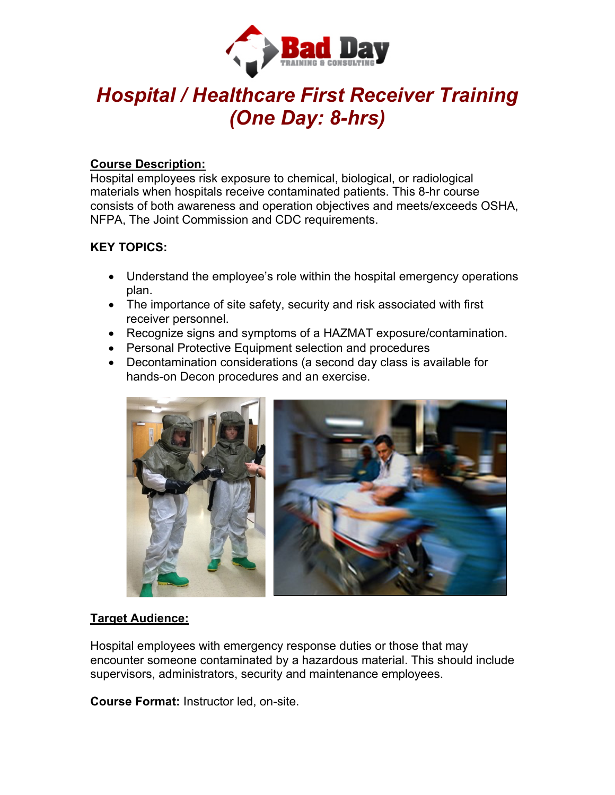

### *Hospital / Healthcare First Receiver Training (One Day: 8-hrs)*

#### **Course Description:**

Hospital employees risk exposure to chemical, biological, or radiological materials when hospitals receive contaminated patients. This 8-hr course consists of both awareness and operation objectives and meets/exceeds OSHA, NFPA, The Joint Commission and CDC requirements.

#### **KEY TOPICS:**

- Understand the employee's role within the hospital emergency operations plan.
- The importance of site safety, security and risk associated with first receiver personnel.
- Recognize signs and symptoms of a HAZMAT exposure/contamination.
- Personal Protective Equipment selection and procedures
- Decontamination considerations (a second day class is available for hands-on Decon procedures and an exercise.



#### **Target Audience:**

Hospital employees with emergency response duties or those that may encounter someone contaminated by a hazardous material. This should include supervisors, administrators, security and maintenance employees.

**Course Format:** Instructor led, on-site.